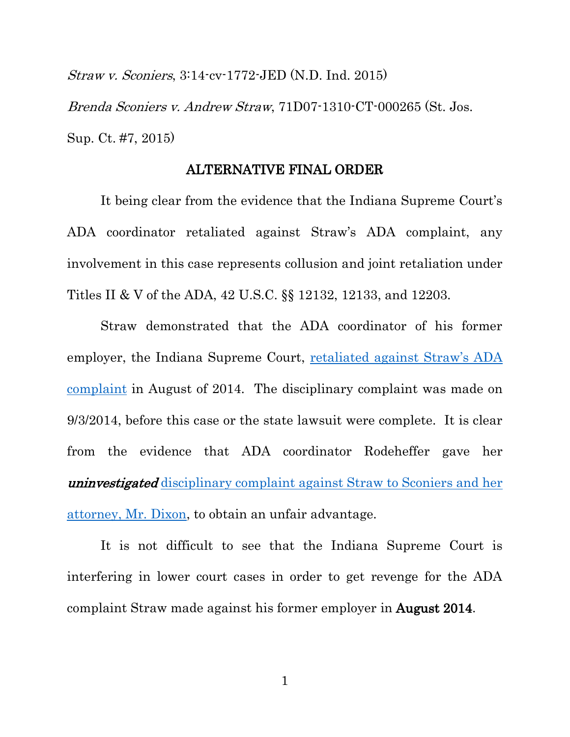Straw v. Sconiers, 3:14-cv-1772-JED (N.D. Ind. 2015) Brenda Sconiers v. Andrew Straw, 71D07-1310-CT-000265 (St. Jos. Sup. Ct. #7, 2015)

## ALTERNATIVE FINAL ORDER

It being clear from the evidence that the Indiana Supreme Court's ADA coordinator retaliated against Straw's ADA complaint, any involvement in this case represents collusion and joint retaliation under Titles II & V of the ADA, 42 U.S.C. §§ 12132, 12133, and 12203.

Straw demonstrated that the ADA coordinator of his former employer, the Indiana Supreme Court, retaliated against Straw's ADA [complaint](https://drive.google.com/file/d/1bd4hnYgaOlhRRD4ZLjYEh8pCEogXMs3-/view?usp=sharing) in August of 2014. The disciplinary complaint was made on 9/3/2014, before this case or the state lawsuit were complete. It is clear from the evidence that ADA coordinator Rodeheffer gave her uninvestigated [disciplinary complaint against Straw to Sconiers and her](https://drive.google.com/file/d/0B7fESKZS9PWmOXNoRXNKUHhmVWM/view?usp=sharing)  [attorney, Mr. Dixon,](https://drive.google.com/file/d/0B7fESKZS9PWmOXNoRXNKUHhmVWM/view?usp=sharing) to obtain an unfair advantage.

It is not difficult to see that the Indiana Supreme Court is interfering in lower court cases in order to get revenge for the ADA complaint Straw made against his former employer in August 2014.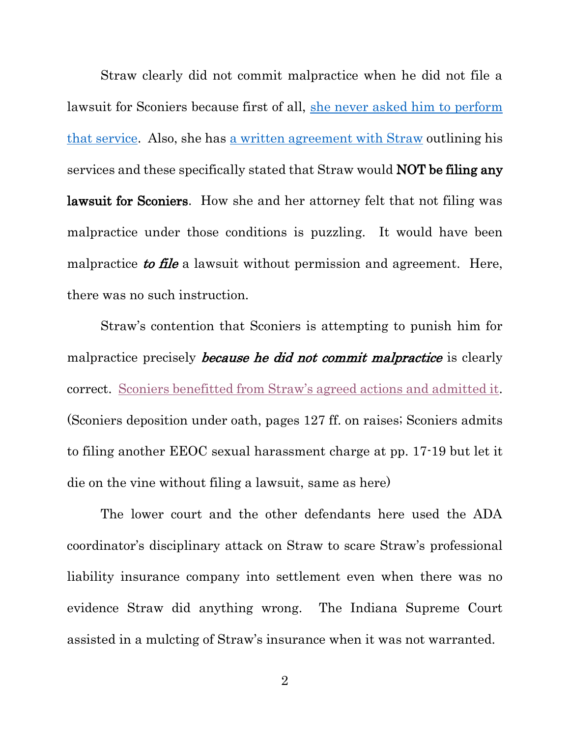Straw clearly did not commit malpractice when he did not file a lawsuit for Sconiers because first of all, [she never asked him to perform](https://drive.google.com/file/d/0B7fESKZS9PWmQk9xWXp0SVotVWc/view?usp=sharing)  [that service.](https://drive.google.com/file/d/0B7fESKZS9PWmQk9xWXp0SVotVWc/view?usp=sharing) Also, she has [a written agreement with Straw](https://drive.google.com/file/d/0B7fESKZS9PWmQk9xWXp0SVotVWc/view?usp=sharing) outlining his services and these specifically stated that Straw would NOT be filing any lawsuit for Sconiers. How she and her attorney felt that not filing was malpractice under those conditions is puzzling. It would have been malpractice to file a lawsuit without permission and agreement. Here, there was no such instruction.

Straw's contention that Sconiers is attempting to punish him for malpractice precisely *because he did not commit malpractice* is clearly correct. [Sconiers benefitted from Straw's agreed actions and admitted it](https://drive.google.com/file/d/0B7fESKZS9PWmazd0SXhmSDNsX3c/view?usp=sharing). (Sconiers deposition under oath, pages 127 ff. on raises; Sconiers admits to filing another EEOC sexual harassment charge at pp. 17-19 but let it die on the vine without filing a lawsuit, same as here)

The lower court and the other defendants here used the ADA coordinator's disciplinary attack on Straw to scare Straw's professional liability insurance company into settlement even when there was no evidence Straw did anything wrong. The Indiana Supreme Court assisted in a mulcting of Straw's insurance when it was not warranted.

2